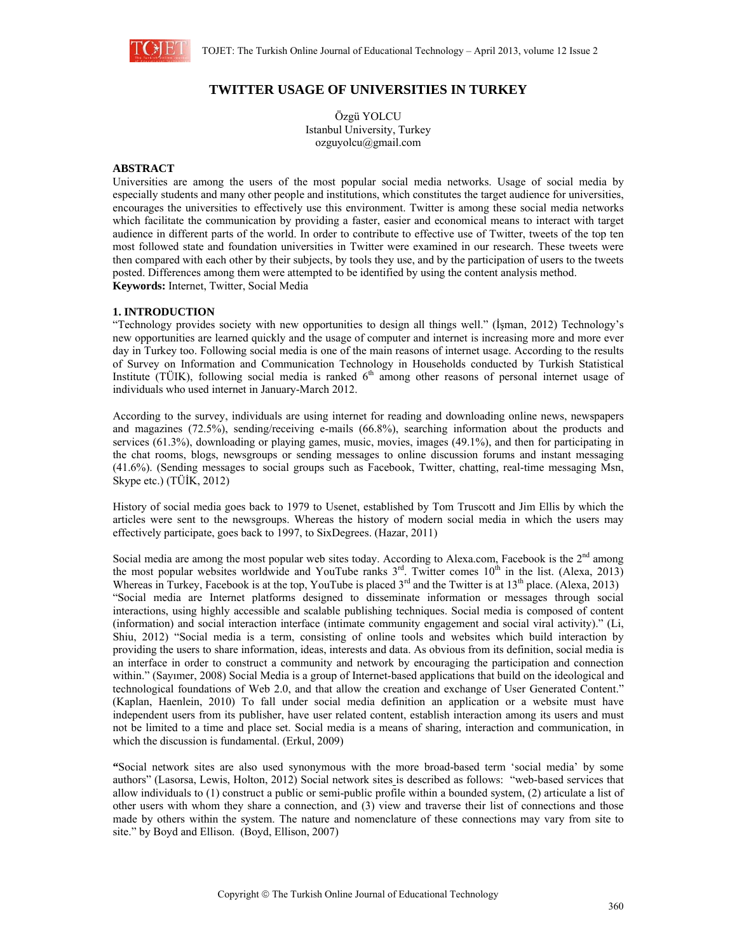

# **TWITTER USAGE OF UNIVERSITIES IN TURKEY**

Özgü YOLCU Istanbul University, Turkey ozguyolcu@gmail.com

## **ABSTRACT**

Universities are among the users of the most popular social media networks. Usage of social media by especially students and many other people and institutions, which constitutes the target audience for universities, encourages the universities to effectively use this environment. Twitter is among these social media networks which facilitate the communication by providing a faster, easier and economical means to interact with target audience in different parts of the world. In order to contribute to effective use of Twitter, tweets of the top ten most followed state and foundation universities in Twitter were examined in our research. These tweets were then compared with each other by their subjects, by tools they use, and by the participation of users to the tweets posted. Differences among them were attempted to be identified by using the content analysis method. **Keywords:** Internet, Twitter, Social Media

### **1. INTRODUCTION**

"Technology provides society with new opportunities to design all things well." (İşman, 2012) Technology's new opportunities are learned quickly and the usage of computer and internet is increasing more and more ever day in Turkey too. Following social media is one of the main reasons of internet usage. According to the results of Survey on Information and Communication Technology in Households conducted by Turkish Statistical Institute (TÜIK), following social media is ranked  $6<sup>th</sup>$  among other reasons of personal internet usage of individuals who used internet in January-March 2012.

According to the survey, individuals are using internet for reading and downloading online news, newspapers and magazines (72.5%), sending/receiving e-mails (66.8%), searching information about the products and services (61.3%), downloading or playing games, music, movies, images (49.1%), and then for participating in the chat rooms, blogs, newsgroups or sending messages to online discussion forums and instant messaging (41.6%). (Sending messages to social groups such as Facebook, Twitter, chatting, real-time messaging Msn, Skype etc.) (TÜİK, 2012)

History of social media goes back to 1979 to Usenet, established by Tom Truscott and Jim Ellis by which the articles were sent to the newsgroups. Whereas the history of modern social media in which the users may effectively participate, goes back to 1997, to SixDegrees. (Hazar, 2011)

Social media are among the most popular web sites today. According to Alexa.com, Facebook is the  $2<sup>nd</sup>$  among the most popular websites worldwide and YouTube ranks  $3<sup>rd</sup>$ . Twitter comes  $10<sup>th</sup>$  in the list. (Alexa, 2013) Whereas in Turkey, Facebook is at the top, YouTube is placed  $3^{rd}$  and the Twitter is at  $13^{th}$  place. (Alexa, 2013) "Social media are Internet platforms designed to disseminate information or messages through social interactions, using highly accessible and scalable publishing techniques. Social media is composed of content (information) and social interaction interface (intimate community engagement and social viral activity)." (Li, Shiu, 2012) "Social media is a term, consisting of online tools and websites which build interaction by providing the users to share information, ideas, interests and data. As obvious from its definition, social media is an interface in order to construct a community and network by encouraging the participation and connection within." (Sayımer, 2008) Social Media is a group of Internet-based applications that build on the ideological and technological foundations of Web 2.0, and that allow the creation and exchange of User Generated Content." (Kaplan, Haenlein, 2010) To fall under social media definition an application or a website must have independent users from its publisher, have user related content, establish interaction among its users and must not be limited to a time and place set. Social media is a means of sharing, interaction and communication, in which the discussion is fundamental. (Erkul, 2009)

**"**Social network sites are also used synonymous with the more broad-based term 'social media' by some authors" (Lasorsa, Lewis, Holton, 2012) Social network sites is described as follows: "web-based services that allow individuals to (1) construct a public or semi-public profile within a bounded system, (2) articulate a list of other users with whom they share a connection, and (3) view and traverse their list of connections and those made by others within the system. The nature and nomenclature of these connections may vary from site to site." by Boyd and Ellison. (Boyd, Ellison, 2007)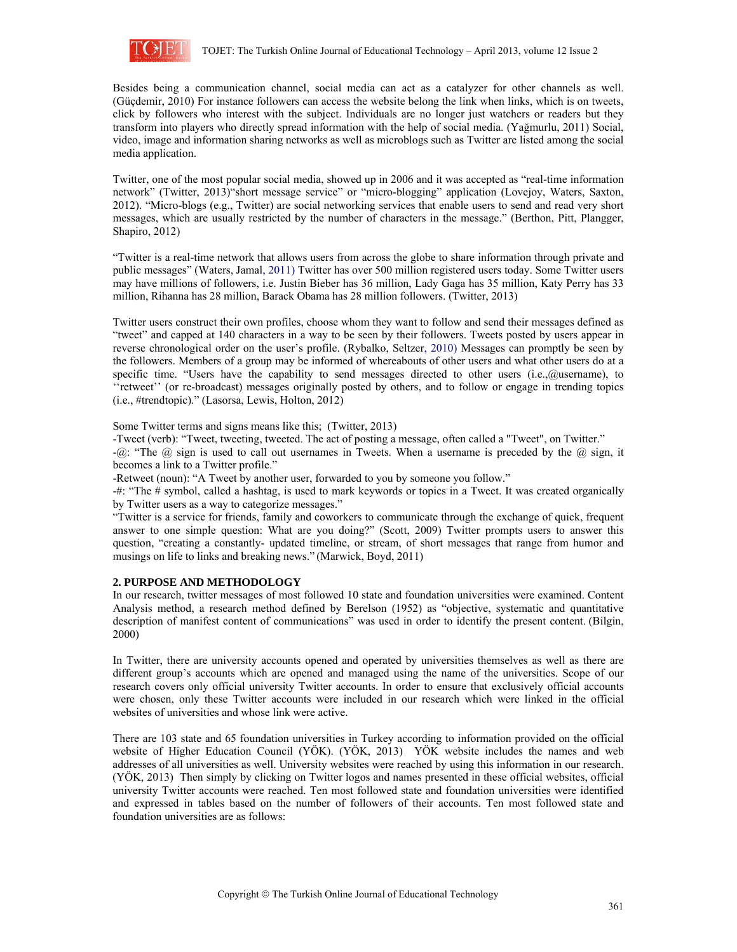

Besides being a communication channel, social media can act as a catalyzer for other channels as well. (Güçdemir, 2010) For instance followers can access the website belong the link when links, which is on tweets, click by followers who interest with the subject. Individuals are no longer just watchers or readers but they transform into players who directly spread information with the help of social media. (Yağmurlu, 2011) Social, video, image and information sharing networks as well as microblogs such as Twitter are listed among the social media application.

Twitter, one of the most popular social media, showed up in 2006 and it was accepted as "real-time information network" (Twitter, 2013) short message service" or "micro-blogging" application (Lovejoy, Waters, Saxton, 2012). "Micro-blogs (e.g., Twitter) are social networking services that enable users to send and read very short messages, which are usually restricted by the number of characters in the message." (Berthon, Pitt, Plangger, Shapiro, 2012)

"Twitter is a real-time network that allows users from across the globe to share information through private and public messages" (Waters, Jamal, 2011) Twitter has over 500 million registered users today. Some Twitter users may have millions of followers, i.e. Justin Bieber has 36 million, Lady Gaga has 35 million, Katy Perry has 33 million, Rihanna has 28 million, Barack Obama has 28 million followers. (Twitter, 2013)

Twitter users construct their own profiles, choose whom they want to follow and send their messages defined as "tweet" and capped at 140 characters in a way to be seen by their followers. Tweets posted by users appear in reverse chronological order on the user's profile. (Rybalko, Seltzer, 2010) Messages can promptly be seen by the followers. Members of a group may be informed of whereabouts of other users and what other users do at a specific time. "Users have the capability to send messages directed to other users (i.e.,@username), to ''retweet'' (or re-broadcast) messages originally posted by others, and to follow or engage in trending topics (i.e., #trendtopic)." (Lasorsa, Lewis, Holton, 2012)

Some Twitter terms and signs means like this; (Twitter, 2013)

-Tweet (verb): "Tweet, tweeting, tweeted. The act of posting a message, often called a "Tweet", on Twitter."

 $-\omega$ : "The  $\omega$  sign is used to call out usernames in Tweets. When a username is preceded by the  $\omega$  sign, it becomes a link to a Twitter profile."

-Retweet (noun): "A Tweet by another user, forwarded to you by someone you follow."

-#: "The # symbol, called a hashtag, is used to mark keywords or topics in a Tweet. It was created organically by Twitter users as a way to categorize messages."

"Twitter is a service for friends, family and coworkers to communicate through the exchange of quick, frequent answer to one simple question: What are you doing?" (Scott, 2009) Twitter prompts users to answer this question, "creating a constantly- updated timeline, or stream, of short messages that range from humor and musings on life to links and breaking news." (Marwick, Boyd, 2011)

# **2. PURPOSE AND METHODOLOGY**

In our research, twitter messages of most followed 10 state and foundation universities were examined. Content Analysis method, a research method defined by Berelson (1952) as "objective, systematic and quantitative description of manifest content of communications" was used in order to identify the present content. (Bilgin, 2000)

In Twitter, there are university accounts opened and operated by universities themselves as well as there are different group's accounts which are opened and managed using the name of the universities. Scope of our research covers only official university Twitter accounts. In order to ensure that exclusively official accounts were chosen, only these Twitter accounts were included in our research which were linked in the official websites of universities and whose link were active.

There are 103 state and 65 foundation universities in Turkey according to information provided on the official website of Higher Education Council (YÖK). (YÖK, 2013) YÖK website includes the names and web addresses of all universities as well. University websites were reached by using this information in our research. (YÖK, 2013) Then simply by clicking on Twitter logos and names presented in these official websites, official university Twitter accounts were reached. Ten most followed state and foundation universities were identified and expressed in tables based on the number of followers of their accounts. Ten most followed state and foundation universities are as follows: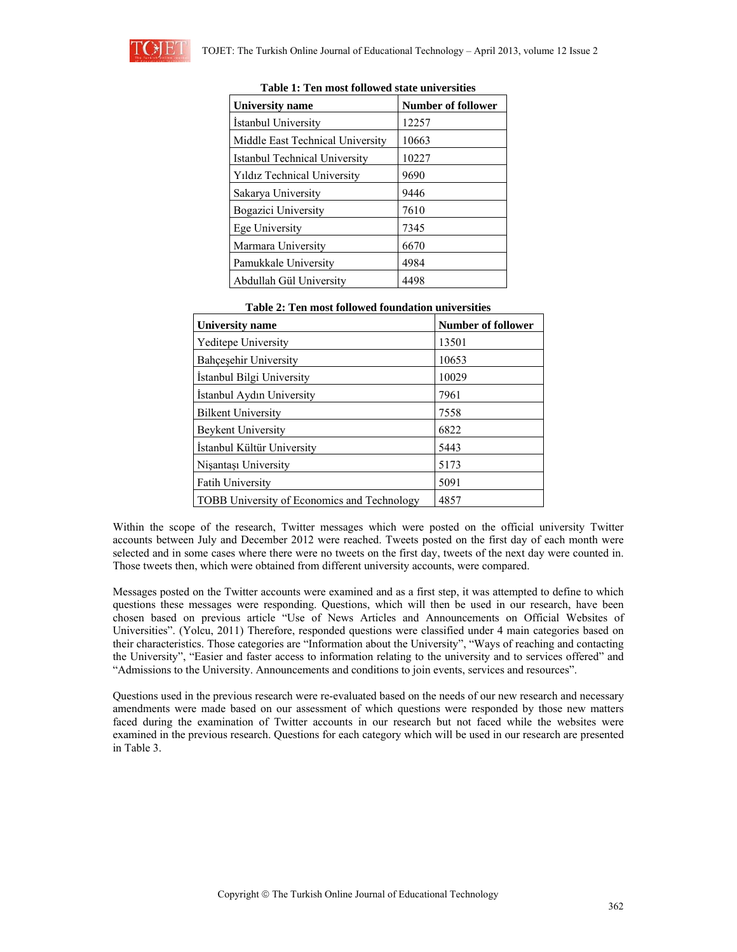| University name                      | <b>Number of follower</b> |
|--------------------------------------|---------------------------|
| Istanbul University                  | 12257                     |
| Middle East Technical University     | 10663                     |
| <b>Istanbul Technical University</b> | 10227                     |
| Yıldız Technical University          | 9690                      |
| Sakarya University                   | 9446                      |
| Bogazici University                  | 7610                      |
| Ege University                       | 7345                      |
| Marmara University                   | 6670                      |
| Pamukkale University                 | 4984                      |
| Abdullah Gül University              | 4498                      |

| Table 1: Ten most followed state universities |  |  |  |  |  |
|-----------------------------------------------|--|--|--|--|--|
|-----------------------------------------------|--|--|--|--|--|

| rabic 2. run most fonowed foundation umversittes |                           |  |  |  |
|--------------------------------------------------|---------------------------|--|--|--|
| University name                                  | <b>Number of follower</b> |  |  |  |
| <b>Yeditepe University</b>                       | 13501                     |  |  |  |
| <b>Bahcesehir University</b>                     | 10653                     |  |  |  |
| Istanbul Bilgi University                        | 10029                     |  |  |  |
| Istanbul Aydın University                        | 7961                      |  |  |  |
| <b>Bilkent University</b>                        | 7558                      |  |  |  |
| <b>Beykent University</b>                        | 6822                      |  |  |  |
| Istanbul Kültür University                       | 5443                      |  |  |  |
| Nisantası University                             | 5173                      |  |  |  |
| <b>Fatih University</b>                          | 5091                      |  |  |  |
| TOBB University of Economics and Technology      | 4857                      |  |  |  |

| Table 2: Ten most followed foundation universities |
|----------------------------------------------------|
|----------------------------------------------------|

Within the scope of the research, Twitter messages which were posted on the official university Twitter accounts between July and December 2012 were reached. Tweets posted on the first day of each month were selected and in some cases where there were no tweets on the first day, tweets of the next day were counted in. Those tweets then, which were obtained from different university accounts, were compared.

Messages posted on the Twitter accounts were examined and as a first step, it was attempted to define to which questions these messages were responding. Questions, which will then be used in our research, have been chosen based on previous article "Use of News Articles and Announcements on Official Websites of Universities". (Yolcu, 2011) Therefore, responded questions were classified under 4 main categories based on their characteristics. Those categories are "Information about the University", "Ways of reaching and contacting the University", "Easier and faster access to information relating to the university and to services offered" and "Admissions to the University. Announcements and conditions to join events, services and resources".

Questions used in the previous research were re-evaluated based on the needs of our new research and necessary amendments were made based on our assessment of which questions were responded by those new matters faced during the examination of Twitter accounts in our research but not faced while the websites were examined in the previous research. Questions for each category which will be used in our research are presented in Table 3.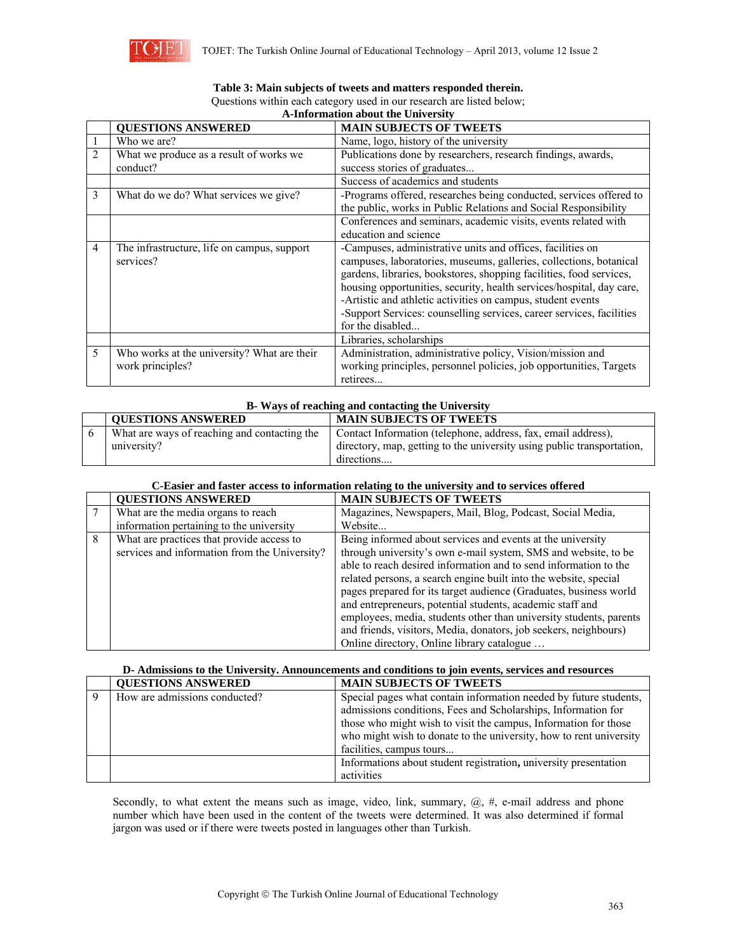

|                | т пиогнинон ивоит не ештеген                             |                                                                                                                                                                                                                                                                                                                                                                                                                                            |  |  |  |
|----------------|----------------------------------------------------------|--------------------------------------------------------------------------------------------------------------------------------------------------------------------------------------------------------------------------------------------------------------------------------------------------------------------------------------------------------------------------------------------------------------------------------------------|--|--|--|
|                | <b>QUESTIONS ANSWERED</b>                                | <b>MAIN SUBJECTS OF TWEETS</b>                                                                                                                                                                                                                                                                                                                                                                                                             |  |  |  |
|                | Who we are?                                              | Name, logo, history of the university                                                                                                                                                                                                                                                                                                                                                                                                      |  |  |  |
| $\overline{2}$ | What we produce as a result of works we                  | Publications done by researchers, research findings, awards,                                                                                                                                                                                                                                                                                                                                                                               |  |  |  |
|                | conduct?                                                 | success stories of graduates                                                                                                                                                                                                                                                                                                                                                                                                               |  |  |  |
|                |                                                          | Success of academics and students                                                                                                                                                                                                                                                                                                                                                                                                          |  |  |  |
| 3              | What do we do? What services we give?                    | -Programs offered, researches being conducted, services offered to                                                                                                                                                                                                                                                                                                                                                                         |  |  |  |
|                |                                                          | the public, works in Public Relations and Social Responsibility                                                                                                                                                                                                                                                                                                                                                                            |  |  |  |
|                |                                                          | Conferences and seminars, academic visits, events related with                                                                                                                                                                                                                                                                                                                                                                             |  |  |  |
|                |                                                          | education and science                                                                                                                                                                                                                                                                                                                                                                                                                      |  |  |  |
| $\overline{4}$ | The infrastructure, life on campus, support<br>services? | -Campuses, administrative units and offices, facilities on<br>campuses, laboratories, museums, galleries, collections, botanical<br>gardens, libraries, bookstores, shopping facilities, food services,<br>housing opportunities, security, health services/hospital, day care,<br>-Artistic and athletic activities on campus, student events<br>-Support Services: counselling services, career services, facilities<br>for the disabled |  |  |  |
|                |                                                          | Libraries, scholarships                                                                                                                                                                                                                                                                                                                                                                                                                    |  |  |  |
| 5              | Who works at the university? What are their              | Administration, administrative policy, Vision/mission and                                                                                                                                                                                                                                                                                                                                                                                  |  |  |  |
|                | work principles?                                         | working principles, personnel policies, job opportunities, Targets                                                                                                                                                                                                                                                                                                                                                                         |  |  |  |
|                |                                                          | retirees                                                                                                                                                                                                                                                                                                                                                                                                                                   |  |  |  |

#### **Table 3: Main subjects of tweets and matters responded therein.**  Questions within each category used in our research are listed below; **A-Information about the University**

| B. Ways of reaching and contacting the University |                                                                        |  |  |
|---------------------------------------------------|------------------------------------------------------------------------|--|--|
| <b>QUESTIONS ANSWERED</b>                         | <b>MAIN SUBJECTS OF TWEETS</b>                                         |  |  |
| What are ways of reaching and contacting the      | Contact Information (telephone, address, fax, email address),          |  |  |
| university?                                       | directory, map, getting to the university using public transportation, |  |  |
|                                                   | directions                                                             |  |  |

# **C-Easier and faster access to information relating to the university and to services offered**

|   | <b>OUESTIONS ANSWERED</b>                                                                  | <b>MAIN SUBJECTS OF TWEETS</b>                                                                                                                                                                                                                                                                                                                                                                                                                                                                                                                                                                 |
|---|--------------------------------------------------------------------------------------------|------------------------------------------------------------------------------------------------------------------------------------------------------------------------------------------------------------------------------------------------------------------------------------------------------------------------------------------------------------------------------------------------------------------------------------------------------------------------------------------------------------------------------------------------------------------------------------------------|
|   | What are the media organs to reach<br>information pertaining to the university             | Magazines, Newspapers, Mail, Blog, Podcast, Social Media,<br>Website                                                                                                                                                                                                                                                                                                                                                                                                                                                                                                                           |
| 8 | What are practices that provide access to<br>services and information from the University? | Being informed about services and events at the university<br>through university's own e-mail system, SMS and website, to be<br>able to reach desired information and to send information to the<br>related persons, a search engine built into the website, special<br>pages prepared for its target audience (Graduates, business world<br>and entrepreneurs, potential students, academic staff and<br>employees, media, students other than university students, parents<br>and friends, visitors, Media, donators, job seekers, neighbours)<br>Online directory, Online library catalogue |

# **D- Admissions to the University. Announcements and conditions to join events, services and resources**

| <b>QUESTIONS ANSWERED</b>     | <b>MAIN SUBJECTS OF TWEETS</b>                                     |  |
|-------------------------------|--------------------------------------------------------------------|--|
| How are admissions conducted? | Special pages what contain information needed by future students,  |  |
|                               | admissions conditions, Fees and Scholarships, Information for      |  |
|                               | those who might wish to visit the campus, Information for those    |  |
|                               | who might wish to donate to the university, how to rent university |  |
|                               | facilities, campus tours                                           |  |
|                               | Informations about student registration, university presentation   |  |
|                               | activities                                                         |  |

Secondly, to what extent the means such as image, video, link, summary,  $\omega$ , #, e-mail address and phone number which have been used in the content of the tweets were determined. It was also determined if formal jargon was used or if there were tweets posted in languages other than Turkish.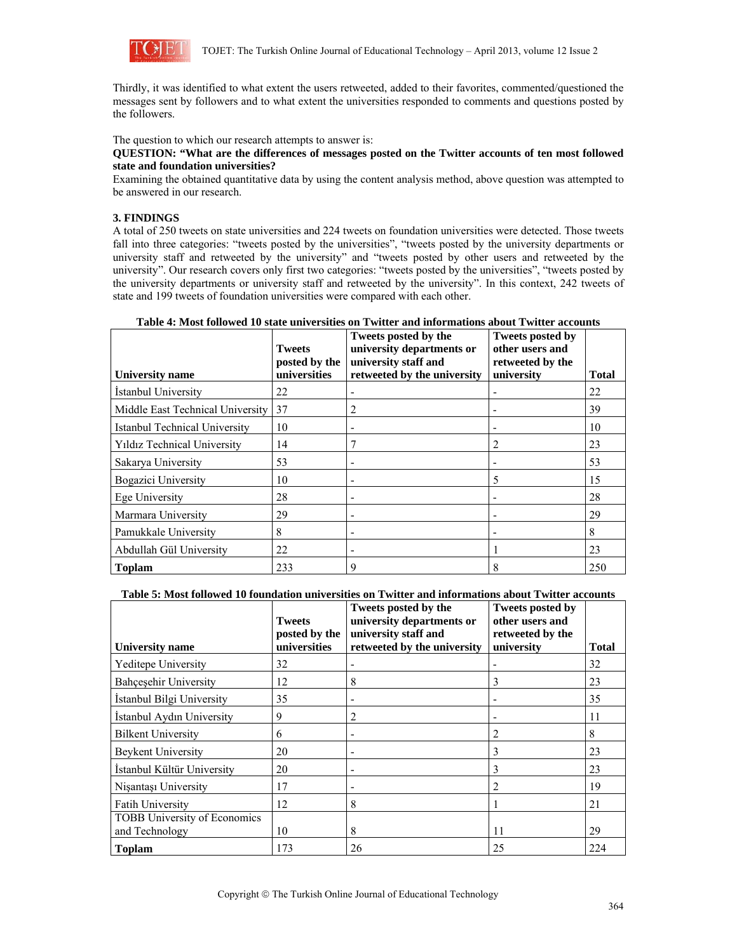

Thirdly, it was identified to what extent the users retweeted, added to their favorites, commented/questioned the messages sent by followers and to what extent the universities responded to comments and questions posted by the followers.

The question to which our research attempts to answer is:

### **QUESTION: "What are the differences of messages posted on the Twitter accounts of ten most followed state and foundation universities?**

Examining the obtained quantitative data by using the content analysis method, above question was attempted to be answered in our research.

# **3. FINDINGS**

A total of 250 tweets on state universities and 224 tweets on foundation universities were detected. Those tweets fall into three categories: "tweets posted by the universities", "tweets posted by the university departments or university staff and retweeted by the university" and "tweets posted by other users and retweeted by the university". Our research covers only first two categories: "tweets posted by the universities", "tweets posted by the university departments or university staff and retweeted by the university". In this context, 242 tweets of state and 199 tweets of foundation universities were compared with each other.

| Table 4: Most followed 10 state universities on Twitter and informations about Twitter accounts |               |                                    |                  |  |
|-------------------------------------------------------------------------------------------------|---------------|------------------------------------|------------------|--|
|                                                                                                 |               | Tweets posted by the               | Tweets posted by |  |
|                                                                                                 | <b>Tweets</b> | university departments or          | other users and  |  |
|                                                                                                 |               | posted by the university staff and | retweeted by the |  |

| University name                    | Tweets<br>posted by the<br>universities | university departments or<br>university staff and<br>retweeted by the university | other users and<br>retweeted by the<br>university | <b>Total</b> |
|------------------------------------|-----------------------------------------|----------------------------------------------------------------------------------|---------------------------------------------------|--------------|
| Istanbul University                | 22                                      |                                                                                  |                                                   | 22           |
| Middle East Technical University   | 37                                      |                                                                                  |                                                   | 39           |
| Istanbul Technical University      | 10                                      |                                                                                  |                                                   | 10           |
| <b>Yildiz Technical University</b> | 14                                      |                                                                                  | 2                                                 | 23           |
| Sakarya University                 | 53                                      |                                                                                  |                                                   | 53           |
| Bogazici University                | 10                                      | ٠                                                                                | 5                                                 | 15           |
| Ege University                     | 28                                      |                                                                                  |                                                   | 28           |
| Marmara University                 | 29                                      |                                                                                  |                                                   | 29           |
| Pamukkale University               | 8                                       |                                                                                  |                                                   | 8            |
| Abdullah Gül University            | 22                                      |                                                                                  |                                                   | 23           |
| <b>Toplam</b>                      | 233                                     |                                                                                  | 8                                                 | 250          |

## **Table 5: Most followed 10 foundation universities on Twitter and informations about Twitter accounts**

| <b>University</b> name                                | <b>Tweets</b><br>posted by the<br>universities | Tweets posted by the<br>university departments or<br>university staff and<br>retweeted by the university | <b>Tweets posted by</b><br>other users and<br>retweeted by the<br>university | <b>Total</b> |
|-------------------------------------------------------|------------------------------------------------|----------------------------------------------------------------------------------------------------------|------------------------------------------------------------------------------|--------------|
| <b>Yeditepe University</b>                            | 32                                             |                                                                                                          |                                                                              | 32           |
| <b>Bahcesehir University</b>                          | 12                                             | 8                                                                                                        | 3                                                                            | 23           |
| İstanbul Bilgi University                             | 35                                             |                                                                                                          |                                                                              | 35           |
| İstanbul Aydın University                             | 9                                              |                                                                                                          |                                                                              | 11           |
| <b>Bilkent University</b>                             | 6                                              |                                                                                                          | 2                                                                            | 8            |
| Beykent University                                    | 20                                             |                                                                                                          | 3                                                                            | 23           |
| İstanbul Kültür University                            | 20                                             |                                                                                                          | 3                                                                            | 23           |
| Nisantası University                                  | 17                                             |                                                                                                          |                                                                              | 19           |
| <b>Fatih University</b>                               | 12                                             | 8                                                                                                        |                                                                              | 21           |
| <b>TOBB University of Economics</b><br>and Technology | 10                                             | 8                                                                                                        | 11                                                                           | 29           |
| <b>Toplam</b>                                         | 173                                            | 26                                                                                                       | 25                                                                           | 224          |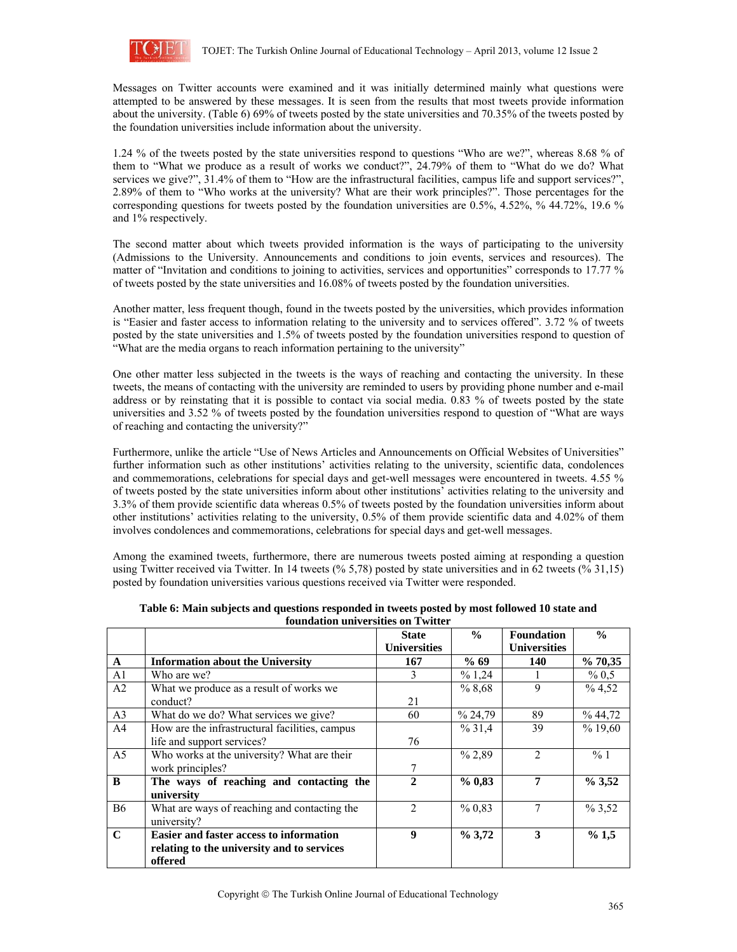

Messages on Twitter accounts were examined and it was initially determined mainly what questions were attempted to be answered by these messages. It is seen from the results that most tweets provide information about the university. (Table 6) 69% of tweets posted by the state universities and 70.35% of the tweets posted by the foundation universities include information about the university.

1.24 % of the tweets posted by the state universities respond to questions "Who are we?", whereas 8.68 % of them to "What we produce as a result of works we conduct?", 24.79% of them to "What do we do? What services we give?", 31.4% of them to "How are the infrastructural facilities, campus life and support services?", 2.89% of them to "Who works at the university? What are their work principles?". Those percentages for the corresponding questions for tweets posted by the foundation universities are 0.5%, 4.52%, % 44.72%, 19.6 % and 1% respectively.

The second matter about which tweets provided information is the ways of participating to the university (Admissions to the University. Announcements and conditions to join events, services and resources). The matter of "Invitation and conditions to joining to activities, services and opportunities" corresponds to 17.77 % of tweets posted by the state universities and 16.08% of tweets posted by the foundation universities.

Another matter, less frequent though, found in the tweets posted by the universities, which provides information is "Easier and faster access to information relating to the university and to services offered". 3.72 % of tweets posted by the state universities and 1.5% of tweets posted by the foundation universities respond to question of "What are the media organs to reach information pertaining to the university"

One other matter less subjected in the tweets is the ways of reaching and contacting the university. In these tweets, the means of contacting with the university are reminded to users by providing phone number and e-mail address or by reinstating that it is possible to contact via social media. 0.83 % of tweets posted by the state universities and 3.52 % of tweets posted by the foundation universities respond to question of "What are ways of reaching and contacting the university?"

Furthermore, unlike the article "Use of News Articles and Announcements on Official Websites of Universities" further information such as other institutions' activities relating to the university, scientific data, condolences and commemorations, celebrations for special days and get-well messages were encountered in tweets. 4.55 % of tweets posted by the state universities inform about other institutions' activities relating to the university and 3.3% of them provide scientific data whereas 0.5% of tweets posted by the foundation universities inform about other institutions' activities relating to the university, 0.5% of them provide scientific data and 4.02% of them involves condolences and commemorations, celebrations for special days and get-well messages.

Among the examined tweets, furthermore, there are numerous tweets posted aiming at responding a question using Twitter received via Twitter. In 14 tweets (% 5,78) posted by state universities and in 62 tweets (% 31,15) posted by foundation universities various questions received via Twitter were responded.

|                |                                                | <b>State</b>        | $\frac{0}{0}$ | <b>Foundation</b>   | $\frac{0}{0}$ |
|----------------|------------------------------------------------|---------------------|---------------|---------------------|---------------|
|                |                                                | <b>Universities</b> |               | <b>Universities</b> |               |
| $\mathbf{A}$   | <b>Information about the University</b>        | 167                 | % 69          | 140                 | % 70,35       |
| A <sub>1</sub> | Who are we?                                    | 3                   | % 1,24        |                     | % 0,5         |
| A2             | What we produce as a result of works we        |                     | %8,68         | 9                   | % 4,52        |
|                | conduct?                                       | 21                  |               |                     |               |
| A <sub>3</sub> | What do we do? What services we give?          | 60                  | % 24,79       | 89                  | %44,72        |
| A <sup>4</sup> | How are the infrastructural facilities, campus |                     | % 31,4        | 39                  | %19,60        |
|                | life and support services?                     | 76                  |               |                     |               |
| A <sub>5</sub> | Who works at the university? What are their    |                     | % 2,89        | $\mathfrak{D}$      | %1            |
|                | work principles?                               |                     |               |                     |               |
| B              | The ways of reaching and contacting the        | $\mathbf{2}$        | % 0.83        | 7                   | % 3,52        |
|                | university                                     |                     |               |                     |               |
| <b>B6</b>      | What are ways of reaching and contacting the   | $\mathfrak{D}$      | % 0,83        |                     | % 3,52        |
|                | university?                                    |                     |               |                     |               |
| $\mathbf C$    | <b>Easier and faster access to information</b> | 9                   | $\%3,72$      | 3                   | % 1,5         |
|                | relating to the university and to services     |                     |               |                     |               |
|                | offered                                        |                     |               |                     |               |

**Table 6: Main subjects and questions responded in tweets posted by most followed 10 state and foundation universities on Twitter**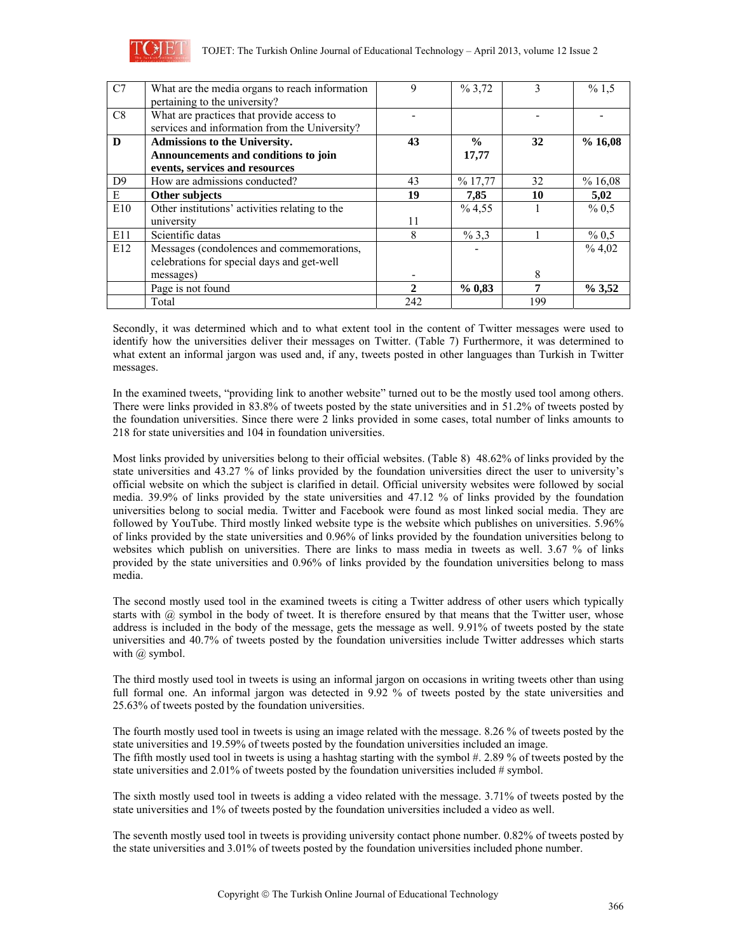

| C7             | What are the media organs to reach information<br>pertaining to the university?                                | 9            | % 3,72                 |     | % 1,5    |
|----------------|----------------------------------------------------------------------------------------------------------------|--------------|------------------------|-----|----------|
| C8             | What are practices that provide access to<br>services and information from the University?                     |              |                        |     |          |
| D              | <b>Admissions to the University.</b><br>Announcements and conditions to join<br>events, services and resources | 43           | $\frac{0}{0}$<br>17,77 | 32  | %16,08   |
| D <sup>9</sup> | How are admissions conducted?                                                                                  | 43           | %17,77                 | 32  | %16,08   |
| E              | Other subjects                                                                                                 | 19           | 7,85                   | 10  | 5,02     |
| E10            | Other institutions' activities relating to the                                                                 |              | % 4,55                 |     | % 0,5    |
|                | university                                                                                                     | 11           |                        |     |          |
| E11            | Scientific datas                                                                                               | 8            | % 3,3                  |     | % 0,5    |
| E12            | Messages (condolences and commemorations,<br>celebrations for special days and get-well                        |              |                        |     | %4,02    |
|                | messages)                                                                                                      |              |                        | 8   |          |
|                | Page is not found                                                                                              | $\mathbf{2}$ | % 0.83                 | 7   | $\%3,52$ |
|                | Total                                                                                                          | 242          |                        | 199 |          |

Secondly, it was determined which and to what extent tool in the content of Twitter messages were used to identify how the universities deliver their messages on Twitter. (Table 7) Furthermore, it was determined to what extent an informal jargon was used and, if any, tweets posted in other languages than Turkish in Twitter messages.

In the examined tweets, "providing link to another website" turned out to be the mostly used tool among others. There were links provided in 83.8% of tweets posted by the state universities and in 51.2% of tweets posted by the foundation universities. Since there were 2 links provided in some cases, total number of links amounts to 218 for state universities and 104 in foundation universities.

Most links provided by universities belong to their official websites. (Table 8) 48.62% of links provided by the state universities and 43.27 % of links provided by the foundation universities direct the user to university's official website on which the subject is clarified in detail. Official university websites were followed by social media. 39.9% of links provided by the state universities and 47.12 % of links provided by the foundation universities belong to social media. Twitter and Facebook were found as most linked social media. They are followed by YouTube. Third mostly linked website type is the website which publishes on universities. 5.96% of links provided by the state universities and 0.96% of links provided by the foundation universities belong to websites which publish on universities. There are links to mass media in tweets as well. 3.67 % of links provided by the state universities and 0.96% of links provided by the foundation universities belong to mass media.

The second mostly used tool in the examined tweets is citing a Twitter address of other users which typically starts with @ symbol in the body of tweet. It is therefore ensured by that means that the Twitter user, whose address is included in the body of the message, gets the message as well. 9.91% of tweets posted by the state universities and 40.7% of tweets posted by the foundation universities include Twitter addresses which starts with @ symbol.

The third mostly used tool in tweets is using an informal jargon on occasions in writing tweets other than using full formal one. An informal jargon was detected in 9.92 % of tweets posted by the state universities and 25.63% of tweets posted by the foundation universities.

The fourth mostly used tool in tweets is using an image related with the message. 8.26 % of tweets posted by the state universities and 19.59% of tweets posted by the foundation universities included an image. The fifth mostly used tool in tweets is using a hashtag starting with the symbol  $# 2.89 \%$  of tweets posted by the state universities and 2.01% of tweets posted by the foundation universities included # symbol.

The sixth mostly used tool in tweets is adding a video related with the message. 3.71% of tweets posted by the state universities and 1% of tweets posted by the foundation universities included a video as well.

The seventh mostly used tool in tweets is providing university contact phone number. 0.82% of tweets posted by the state universities and 3.01% of tweets posted by the foundation universities included phone number.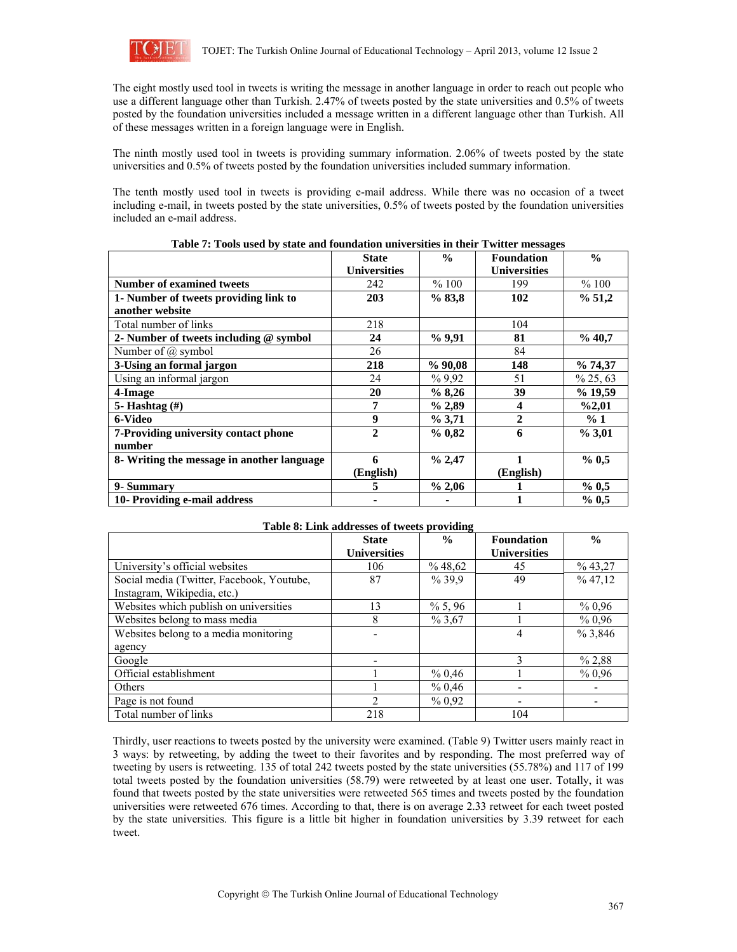

The eight mostly used tool in tweets is writing the message in another language in order to reach out people who use a different language other than Turkish. 2.47% of tweets posted by the state universities and 0.5% of tweets posted by the foundation universities included a message written in a different language other than Turkish. All of these messages written in a foreign language were in English.

The ninth mostly used tool in tweets is providing summary information. 2.06% of tweets posted by the state universities and 0.5% of tweets posted by the foundation universities included summary information.

The tenth mostly used tool in tweets is providing e-mail address. While there was no occasion of a tweet including e-mail, in tweets posted by the state universities, 0.5% of tweets posted by the foundation universities included an e-mail address.

|                                            | <b>State</b>        | $\frac{6}{6}$ | <b>Foundation</b>   | $\frac{6}{9}$ |
|--------------------------------------------|---------------------|---------------|---------------------|---------------|
|                                            | <b>Universities</b> |               | <b>Universities</b> |               |
| <b>Number of examined tweets</b>           | 242                 | %100          | 199                 | %100          |
| 1- Number of tweets providing link to      | 203                 | % 83,8        | 102                 | % 51,2        |
| another website                            |                     |               |                     |               |
| Total number of links                      | 218                 |               | 104                 |               |
| 2- Number of tweets including $@$ symbol   | 24                  | %9,91         | 81                  | % 40,7        |
| Number of $\omega$ symbol                  | 26                  |               | 84                  |               |
| 3-Using an formal jargon                   | 218                 | %90,08        | 148                 | $\%$ 74,37    |
| Using an informal jargon                   | 24                  | %9.92         | 51                  | $\%$ 25, 63   |
| 4-Image                                    | 20                  | %8,26         | 39                  | % 19,59       |
| 5-Hashtag $(\#)$                           | 7                   | $\%$ 2,89     | 4                   | %2,01         |
| 6-Video                                    | 9                   | % 3,71        | 2                   | %1            |
| 7-Providing university contact phone       | $\overline{2}$      | % 0.82        | 6                   | $\%3.01$      |
| number                                     |                     |               |                     |               |
| 8- Writing the message in another language | 6                   | % 2,47        |                     | % 0,5         |
|                                            | (English)           |               | (English)           |               |
| 9-Summary                                  | 5                   | $\%$ 2,06     |                     | % 0,5         |
| 10- Providing e-mail address               |                     |               |                     | % 0.5         |

**Table 7: Tools used by state and foundation universities in their Twitter messages** 

| Table of Lifts additioned twitte providing |                     |               |                     |               |  |  |
|--------------------------------------------|---------------------|---------------|---------------------|---------------|--|--|
|                                            | <b>State</b>        | $\frac{0}{0}$ | <b>Foundation</b>   | $\frac{0}{0}$ |  |  |
|                                            | <b>Universities</b> |               | <b>Universities</b> |               |  |  |
| University's official websites             | 106                 | %48,62        | 45                  | $\%$ 43,27    |  |  |
| Social media (Twitter, Facebook, Youtube,  | 87                  | %39,9         | 49                  | % 47,12       |  |  |
| Instagram, Wikipedia, etc.)                |                     |               |                     |               |  |  |
| Websites which publish on universities     | 13                  | $\%$ 5, 96    |                     | % 0.96        |  |  |
| Websites belong to mass media              | 8                   | % 3,67        |                     | % 0.96        |  |  |
| Websites belong to a media monitoring      |                     |               | 4                   | % 3,846       |  |  |
| agency                                     |                     |               |                     |               |  |  |
| Google                                     |                     |               |                     | % 2,88        |  |  |
| Official establishment                     |                     | % 0,46        |                     | % 0.96        |  |  |
| <b>Others</b>                              |                     | % 0,46        |                     |               |  |  |
| Page is not found                          | $\overline{c}$      | % 0.92        |                     |               |  |  |
| Total number of links                      | 218                 |               | 104                 |               |  |  |

**Table 8: Link addresses of tweets providing** 

### Thirdly, user reactions to tweets posted by the university were examined. (Table 9) Twitter users mainly react in 3 ways: by retweeting, by adding the tweet to their favorites and by responding. The most preferred way of tweeting by users is retweeting. 135 of total 242 tweets posted by the state universities (55.78%) and 117 of 199 total tweets posted by the foundation universities (58.79) were retweeted by at least one user. Totally, it was found that tweets posted by the state universities were retweeted 565 times and tweets posted by the foundation universities were retweeted 676 times. According to that, there is on average 2.33 retweet for each tweet posted by the state universities. This figure is a little bit higher in foundation universities by 3.39 retweet for each tweet.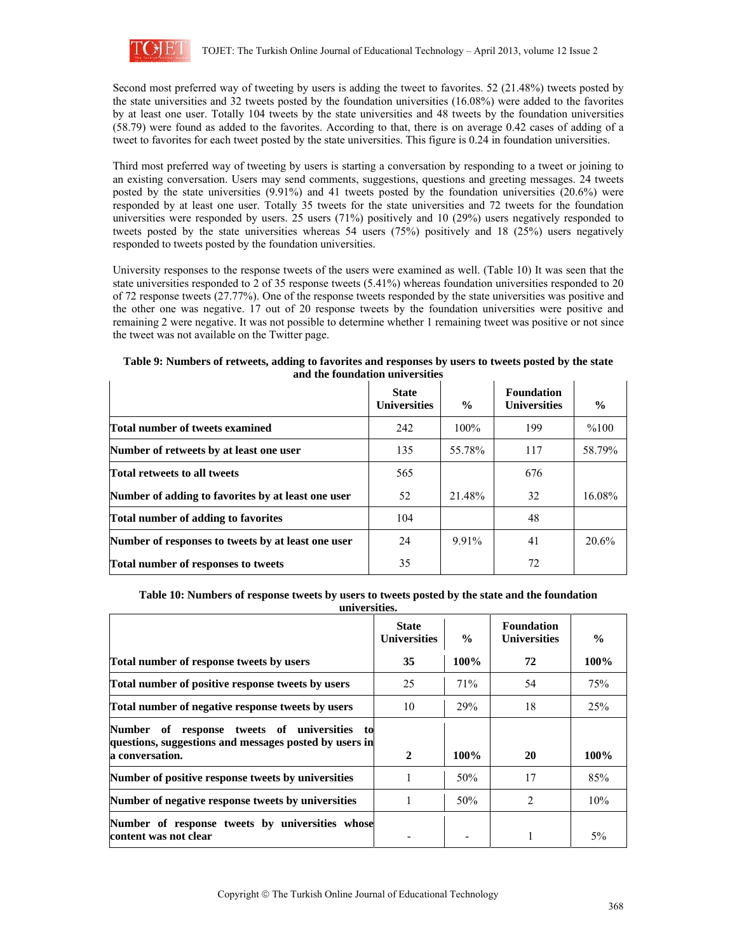

Second most preferred way of tweeting by users is adding the tweet to favorites. 52 (21.48%) tweets posted by the state universities and 32 tweets posted by the foundation universities (16.08%) were added to the favorites by at least one user. Totally 104 tweets by the state universities and 48 tweets by the foundation universities (58.79) were found as added to the favorites. According to that, there is on average 0.42 cases of adding of a tweet to favorites for each tweet posted by the state universities. This figure is 0.24 in foundation universities.

Third most preferred way of tweeting by users is starting a conversation by responding to a tweet or joining to an existing conversation. Users may send comments, suggestions, questions and greeting messages. 24 tweets posted by the state universities (9.91%) and 41 tweets posted by the foundation universities (20.6%) were responded by at least one user. Totally 35 tweets for the state universities and 72 tweets for the foundation universities were responded by users. 25 users (71%) positively and 10 (29%) users negatively responded to tweets posted by the state universities whereas 54 users (75%) positively and 18 (25%) users negatively responded to tweets posted by the foundation universities.

University responses to the response tweets of the users were examined as well. (Table 10) It was seen that the state universities responded to 2 of 35 response tweets (5.41%) whereas foundation universities responded to 20 of 72 response tweets (27.77%). One of the response tweets responded by the state universities was positive and the other one was negative. 17 out of 20 response tweets by the foundation universities were positive and remaining 2 were negative. It was not possible to determine whether 1 remaining tweet was positive or not since the tweet was not available on the Twitter page.

|                                                    | <b>State</b><br><b>Universities</b> | $\frac{6}{6}$ | <b>Foundation</b><br><b>Universities</b> | $\frac{0}{0}$ |  |
|----------------------------------------------------|-------------------------------------|---------------|------------------------------------------|---------------|--|
| Total number of tweets examined                    | 242                                 | $100\%$       | 199                                      | %100          |  |
| Number of retweets by at least one user            | 135                                 | 55.78%        | 117                                      | 58.79%        |  |
| <b>Total retweets to all tweets</b>                | 565                                 |               | 676                                      |               |  |
| Number of adding to favorites by at least one user | 52                                  | 21.48%        | 32                                       | 16.08%        |  |
| Total number of adding to favorites                | 104                                 |               | 48                                       |               |  |
| Number of responses to tweets by at least one user | 24                                  | $9.91\%$      | 41                                       | 20.6%         |  |
| Total number of responses to tweets                | 35                                  |               | 72                                       |               |  |

### **Table 9: Numbers of retweets, adding to favorites and responses by users to tweets posted by the state and the foundation universities**

# **Table 10: Numbers of response tweets by users to tweets posted by the state and the foundation universities.**

|                                                                                                                              | <b>State</b><br><b>Universities</b> | $\frac{0}{0}$ | <b>Foundation</b><br><b>Universities</b> | $\frac{0}{0}$ |
|------------------------------------------------------------------------------------------------------------------------------|-------------------------------------|---------------|------------------------------------------|---------------|
| Total number of response tweets by users                                                                                     | 35                                  | 100%          | 72                                       | 100%          |
| Total number of positive response tweets by users                                                                            | 25                                  | 71%           | 54                                       | 75%           |
| Total number of negative response tweets by users                                                                            | 10                                  | 29%           | 18                                       | 25%           |
| response tweets of universities to<br>Number of<br>questions, suggestions and messages posted by users in<br>a conversation. | 2                                   | $100\%$       | 20                                       | 100%          |
| Number of positive response tweets by universities                                                                           |                                     | 50%           | 17                                       | 85%           |
| Number of negative response tweets by universities                                                                           |                                     | 50%           | $\mathfrak{D}$                           | 10%           |
| Number of response tweets by universities whose<br>content was not clear                                                     |                                     |               |                                          | $5\%$         |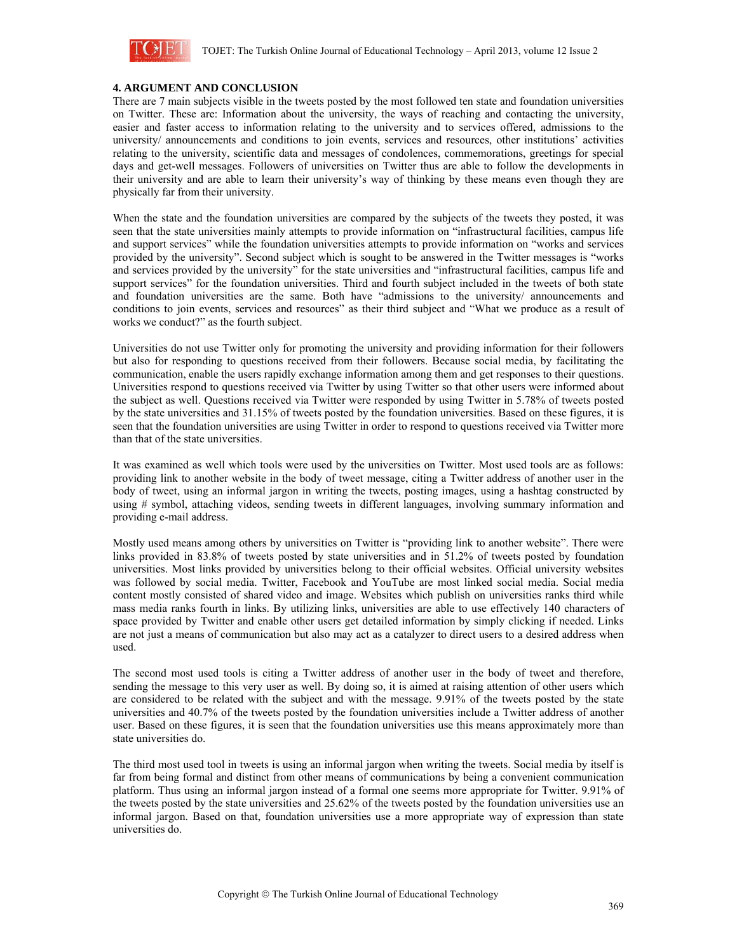

### **4. ARGUMENT AND CONCLUSION**

There are 7 main subjects visible in the tweets posted by the most followed ten state and foundation universities on Twitter. These are: Information about the university, the ways of reaching and contacting the university, easier and faster access to information relating to the university and to services offered, admissions to the university/ announcements and conditions to join events, services and resources, other institutions' activities relating to the university, scientific data and messages of condolences, commemorations, greetings for special days and get-well messages. Followers of universities on Twitter thus are able to follow the developments in their university and are able to learn their university's way of thinking by these means even though they are physically far from their university.

When the state and the foundation universities are compared by the subjects of the tweets they posted, it was seen that the state universities mainly attempts to provide information on "infrastructural facilities, campus life and support services" while the foundation universities attempts to provide information on "works and services provided by the university". Second subject which is sought to be answered in the Twitter messages is "works and services provided by the university" for the state universities and "infrastructural facilities, campus life and support services" for the foundation universities. Third and fourth subject included in the tweets of both state and foundation universities are the same. Both have "admissions to the university/ announcements and conditions to join events, services and resources" as their third subject and "What we produce as a result of works we conduct?" as the fourth subject.

Universities do not use Twitter only for promoting the university and providing information for their followers but also for responding to questions received from their followers. Because social media, by facilitating the communication, enable the users rapidly exchange information among them and get responses to their questions. Universities respond to questions received via Twitter by using Twitter so that other users were informed about the subject as well. Questions received via Twitter were responded by using Twitter in 5.78% of tweets posted by the state universities and 31.15% of tweets posted by the foundation universities. Based on these figures, it is seen that the foundation universities are using Twitter in order to respond to questions received via Twitter more than that of the state universities.

It was examined as well which tools were used by the universities on Twitter. Most used tools are as follows: providing link to another website in the body of tweet message, citing a Twitter address of another user in the body of tweet, using an informal jargon in writing the tweets, posting images, using a hashtag constructed by using # symbol, attaching videos, sending tweets in different languages, involving summary information and providing e-mail address.

Mostly used means among others by universities on Twitter is "providing link to another website". There were links provided in 83.8% of tweets posted by state universities and in 51.2% of tweets posted by foundation universities. Most links provided by universities belong to their official websites. Official university websites was followed by social media. Twitter, Facebook and YouTube are most linked social media. Social media content mostly consisted of shared video and image. Websites which publish on universities ranks third while mass media ranks fourth in links. By utilizing links, universities are able to use effectively 140 characters of space provided by Twitter and enable other users get detailed information by simply clicking if needed. Links are not just a means of communication but also may act as a catalyzer to direct users to a desired address when used.

The second most used tools is citing a Twitter address of another user in the body of tweet and therefore, sending the message to this very user as well. By doing so, it is aimed at raising attention of other users which are considered to be related with the subject and with the message. 9.91% of the tweets posted by the state universities and 40.7% of the tweets posted by the foundation universities include a Twitter address of another user. Based on these figures, it is seen that the foundation universities use this means approximately more than state universities do.

The third most used tool in tweets is using an informal jargon when writing the tweets. Social media by itself is far from being formal and distinct from other means of communications by being a convenient communication platform. Thus using an informal jargon instead of a formal one seems more appropriate for Twitter. 9.91% of the tweets posted by the state universities and 25.62% of the tweets posted by the foundation universities use an informal jargon. Based on that, foundation universities use a more appropriate way of expression than state universities do.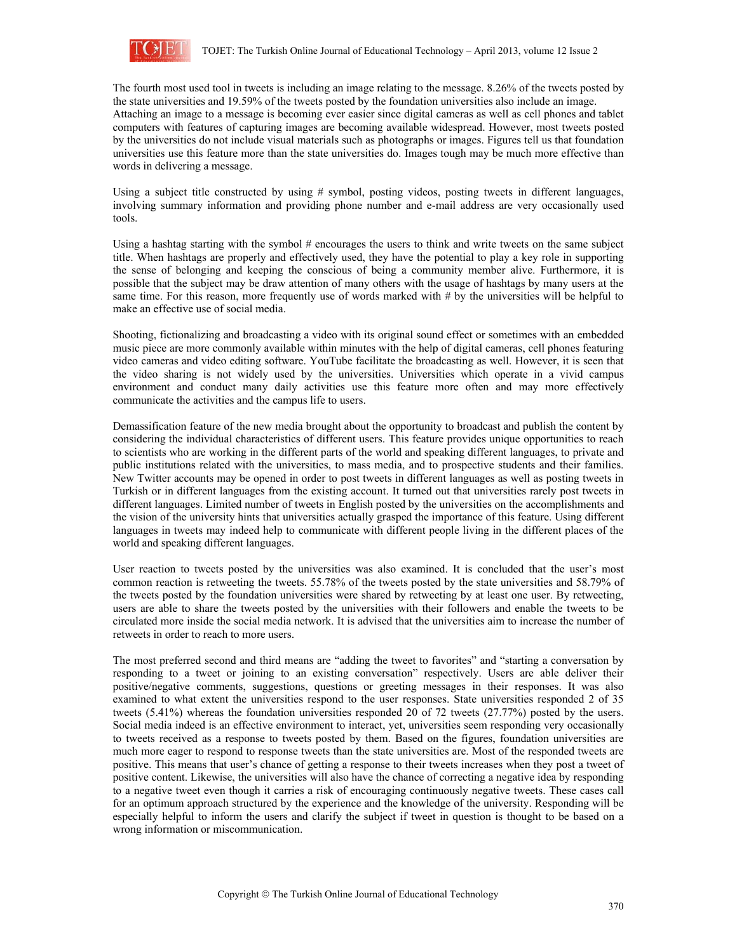

The fourth most used tool in tweets is including an image relating to the message. 8.26% of the tweets posted by the state universities and 19.59% of the tweets posted by the foundation universities also include an image. Attaching an image to a message is becoming ever easier since digital cameras as well as cell phones and tablet computers with features of capturing images are becoming available widespread. However, most tweets posted by the universities do not include visual materials such as photographs or images. Figures tell us that foundation universities use this feature more than the state universities do. Images tough may be much more effective than words in delivering a message.

Using a subject title constructed by using # symbol, posting videos, posting tweets in different languages, involving summary information and providing phone number and e-mail address are very occasionally used tools.

Using a hashtag starting with the symbol  $#$  encourages the users to think and write tweets on the same subject title. When hashtags are properly and effectively used, they have the potential to play a key role in supporting the sense of belonging and keeping the conscious of being a community member alive. Furthermore, it is possible that the subject may be draw attention of many others with the usage of hashtags by many users at the same time. For this reason, more frequently use of words marked with # by the universities will be helpful to make an effective use of social media.

Shooting, fictionalizing and broadcasting a video with its original sound effect or sometimes with an embedded music piece are more commonly available within minutes with the help of digital cameras, cell phones featuring video cameras and video editing software. YouTube facilitate the broadcasting as well. However, it is seen that the video sharing is not widely used by the universities. Universities which operate in a vivid campus environment and conduct many daily activities use this feature more often and may more effectively communicate the activities and the campus life to users.

Demassification feature of the new media brought about the opportunity to broadcast and publish the content by considering the individual characteristics of different users. This feature provides unique opportunities to reach to scientists who are working in the different parts of the world and speaking different languages, to private and public institutions related with the universities, to mass media, and to prospective students and their families. New Twitter accounts may be opened in order to post tweets in different languages as well as posting tweets in Turkish or in different languages from the existing account. It turned out that universities rarely post tweets in different languages. Limited number of tweets in English posted by the universities on the accomplishments and the vision of the university hints that universities actually grasped the importance of this feature. Using different languages in tweets may indeed help to communicate with different people living in the different places of the world and speaking different languages.

User reaction to tweets posted by the universities was also examined. It is concluded that the user's most common reaction is retweeting the tweets. 55.78% of the tweets posted by the state universities and 58.79% of the tweets posted by the foundation universities were shared by retweeting by at least one user. By retweeting, users are able to share the tweets posted by the universities with their followers and enable the tweets to be circulated more inside the social media network. It is advised that the universities aim to increase the number of retweets in order to reach to more users.

The most preferred second and third means are "adding the tweet to favorites" and "starting a conversation by responding to a tweet or joining to an existing conversation" respectively. Users are able deliver their positive/negative comments, suggestions, questions or greeting messages in their responses. It was also examined to what extent the universities respond to the user responses. State universities responded 2 of 35 tweets (5.41%) whereas the foundation universities responded 20 of 72 tweets (27.77%) posted by the users. Social media indeed is an effective environment to interact, yet, universities seem responding very occasionally to tweets received as a response to tweets posted by them. Based on the figures, foundation universities are much more eager to respond to response tweets than the state universities are. Most of the responded tweets are positive. This means that user's chance of getting a response to their tweets increases when they post a tweet of positive content. Likewise, the universities will also have the chance of correcting a negative idea by responding to a negative tweet even though it carries a risk of encouraging continuously negative tweets. These cases call for an optimum approach structured by the experience and the knowledge of the university. Responding will be especially helpful to inform the users and clarify the subject if tweet in question is thought to be based on a wrong information or miscommunication.